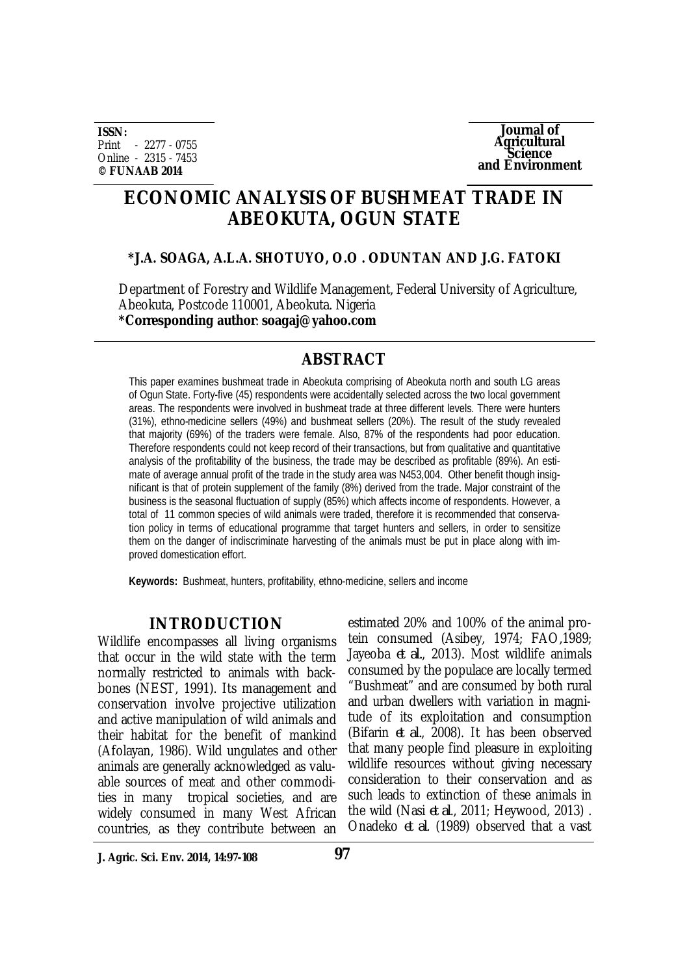**ISSN:** Print - 2277 - 0755 Online - 2315 - 7453 **© FUNAAB 2014**



# **ECONOMIC ANALYSIS OF BUSHMEAT TRADE IN ABEOKUTA, OGUN STATE**

## **\*J.A. SOAGA, A.L.A. SHOTUYO, O.O . ODUNTAN AND J.G. FATOKI**

Department of Forestry and Wildlife Management, Federal University of Agriculture, Abeokuta, Postcode 110001, Abeokuta. Nigeria **\*Corresponding author**: **soagaj@yahoo.com**

## **ABSTRACT**

This paper examines bushmeat trade in Abeokuta comprising of Abeokuta north and south LG areas of Ogun State. Forty-five (45) respondents were accidentally selected across the two local government areas. The respondents were involved in bushmeat trade at three different levels. There were hunters (31%), ethno-medicine sellers (49%) and bushmeat sellers (20%). The result of the study revealed that majority (69%) of the traders were female. Also, 87% of the respondents had poor education. Therefore respondents could not keep record of their transactions, but from qualitative and quantitative analysis of the profitability of the business, the trade may be described as profitable (89%). An estimate of average annual profit of the trade in the study area was N453,004. Other benefit though insignificant is that of protein supplement of the family (8%) derived from the trade. Major constraint of the business is the seasonal fluctuation of supply (85%) which affects income of respondents. However, a total of 11 common species of wild animals were traded, therefore it is recommended that conservation policy in terms of educational programme that target hunters and sellers, in order to sensitize them on the danger of indiscriminate harvesting of the animals must be put in place along with improved domestication effort.

**Keywords:** Bushmeat, hunters, profitability, ethno-medicine, sellers and income

## **INTRODUCTION**

Wildlife encompasses all living organisms that occur in the wild state with the term normally restricted to animals with backbones (NEST, 1991). Its management and conservation involve projective utilization and active manipulation of wild animals and their habitat for the benefit of mankind (Afolayan, 1986). Wild ungulates and other animals are generally acknowledged as valuable sources of meat and other commodities in many tropical societies, and are widely consumed in many West African countries, as they contribute between an

estimated 20% and 100% of the animal protein consumed (Asibey, 1974; FAO,1989; Jayeoba *et al.*, 2013). Most wildlife animals consumed by the populace are locally termed "Bushmeat" and are consumed by both rural and urban dwellers with variation in magnitude of its exploitation and consumption (Bifarin *et al.*, 2008). It has been observed that many people find pleasure in exploiting wildlife resources without giving necessary consideration to their conservation and as such leads to extinction of these animals in the wild (Nasi *et al*., 2011; Heywood, 2013) . Onadeko *et al*. (1989) observed that a vast

**J. Agric. Sci. Env. 2014, 14:97-108**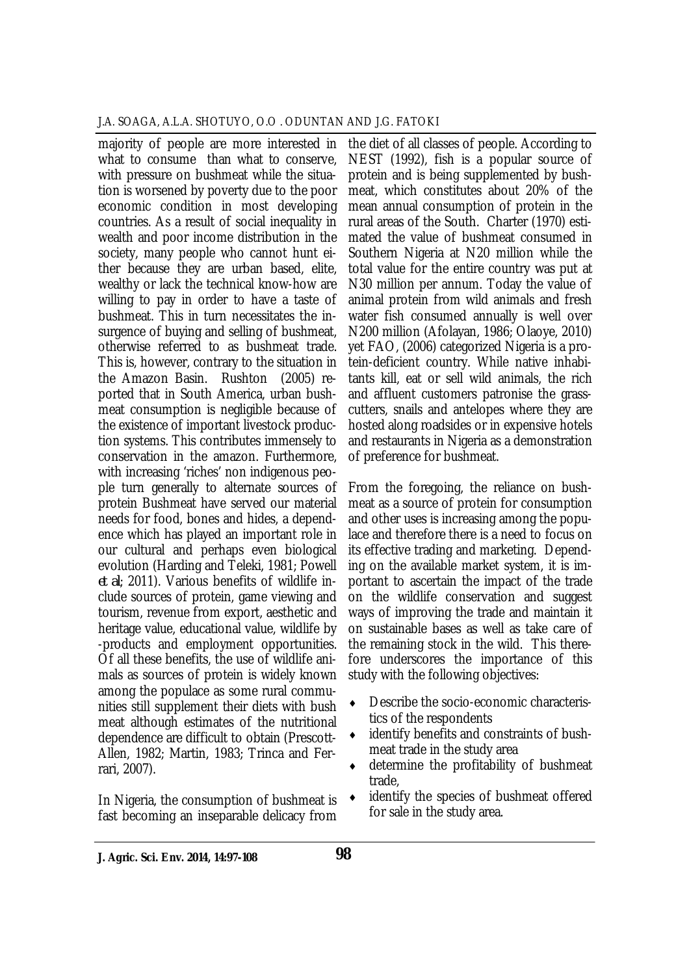majority of people are more interested in what to consume than what to conserve, with pressure on bushmeat while the situation is worsened by poverty due to the poor economic condition in most developing countries. As a result of social inequality in wealth and poor income distribution in the society, many people who cannot hunt either because they are urban based, elite, wealthy or lack the technical know-how are willing to pay in order to have a taste of bushmeat. This in turn necessitates the insurgence of buying and selling of bushmeat, otherwise referred to as bushmeat trade. This is, however, contrary to the situation in the Amazon Basin. Rushton (2005) reported that in South America, urban bushmeat consumption is negligible because of the existence of important livestock production systems. This contributes immensely to conservation in the amazon. Furthermore, with increasing 'riches' non indigenous people turn generally to alternate sources of protein Bushmeat have served our material needs for food, bones and hides, a dependence which has played an important role in our cultural and perhaps even biological evolution (Harding and Teleki, 1981; Powell *et al*; 2011). Various benefits of wildlife include sources of protein, game viewing and tourism, revenue from export, aesthetic and heritage value, educational value, wildlife by -products and employment opportunities. Of all these benefits, the use of wildlife animals as sources of protein is widely known among the populace as some rural communities still supplement their diets with bush meat although estimates of the nutritional dependence are difficult to obtain (Prescott-Allen, 1982; Martin, 1983; Trinca and Ferrari, 2007).

In Nigeria, the consumption of bushmeat is fast becoming an inseparable delicacy from

the diet of all classes of people. According to NEST (1992), fish is a popular source of protein and is being supplemented by bushmeat, which constitutes about 20% of the mean annual consumption of protein in the rural areas of the South. Charter (1970) estimated the value of bushmeat consumed in Southern Nigeria at N20 million while the total value for the entire country was put at N30 million per annum. Today the value of animal protein from wild animals and fresh water fish consumed annually is well over N200 million (Afolayan, 1986; Olaoye, 2010) yet FAO, (2006) categorized Nigeria is a protein-deficient country. While native inhabitants kill, eat or sell wild animals, the rich and affluent customers patronise the grasscutters, snails and antelopes where they are hosted along roadsides or in expensive hotels and restaurants in Nigeria as a demonstration of preference for bushmeat.

From the foregoing, the reliance on bushmeat as a source of protein for consumption and other uses is increasing among the populace and therefore there is a need to focus on its effective trading and marketing. Depending on the available market system, it is important to ascertain the impact of the trade on the wildlife conservation and suggest ways of improving the trade and maintain it on sustainable bases as well as take care of the remaining stock in the wild. This therefore underscores the importance of this study with the following objectives:

- Describe the socio-economic characteristics of the respondents
- identify benefits and constraints of bushmeat trade in the study area
- determine the profitability of bushmeat trade,
- identify the species of bushmeat offered for sale in the study area.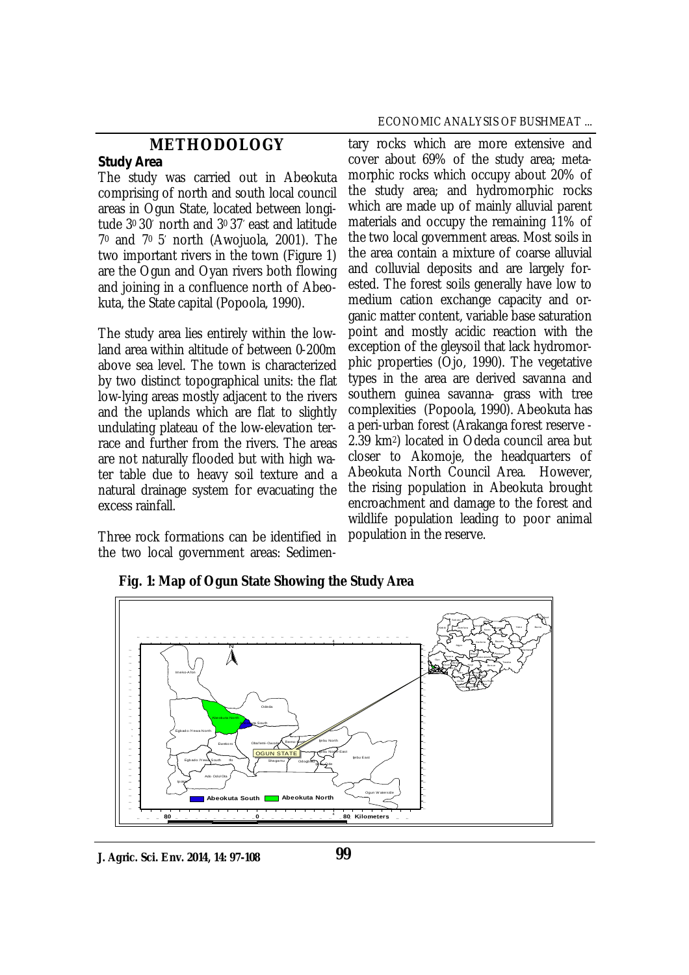## **METHODOLOGY**

#### *Study Area*

The study was carried out in Abeokuta comprising of north and south local council areas in Ogun State, located between longitude 30 30' north and 30 37' east and latitude 7<sup>0</sup> and 70 5' north (Awojuola, 2001). The two important rivers in the town (Figure 1) are the Ogun and Oyan rivers both flowing and joining in a confluence north of Abeokuta, the State capital (Popoola, 1990).

The study area lies entirely within the lowland area within altitude of between 0-200m above sea level. The town is characterized by two distinct topographical units: the flat low-lying areas mostly adjacent to the rivers and the uplands which are flat to slightly undulating plateau of the low-elevation terrace and further from the rivers. The areas are not naturally flooded but with high water table due to heavy soil texture and a natural drainage system for evacuating the excess rainfall.

Three rock formations can be identified in the two local government areas: Sedimen-

#### ECONOMIC ANALYSIS OF BUSHMEAT ...

tary rocks which are more extensive and cover about 69% of the study area; metamorphic rocks which occupy about 20% of the study area; and hydromorphic rocks which are made up of mainly alluvial parent materials and occupy the remaining 11% of the two local government areas. Most soils in the area contain a mixture of coarse alluvial and colluvial deposits and are largely forested. The forest soils generally have low to medium cation exchange capacity and organic matter content, variable base saturation point and mostly acidic reaction with the exception of the gleysoil that lack hydromorphic properties (Ojo, 1990). The vegetative types in the area are derived savanna and southern guinea savanna- grass with tree complexities (Popoola, 1990). Abeokuta has a peri-urban forest (Arakanga forest reserve - 2.39 km2) located in Odeda council area but closer to Akomoje, the headquarters of Abeokuta North Council Area. However, the rising population in Abeokuta brought encroachment and damage to the forest and wildlife population leading to poor animal population in the reserve.



**Fig. 1: Map of Ogun State Showing the Study Area**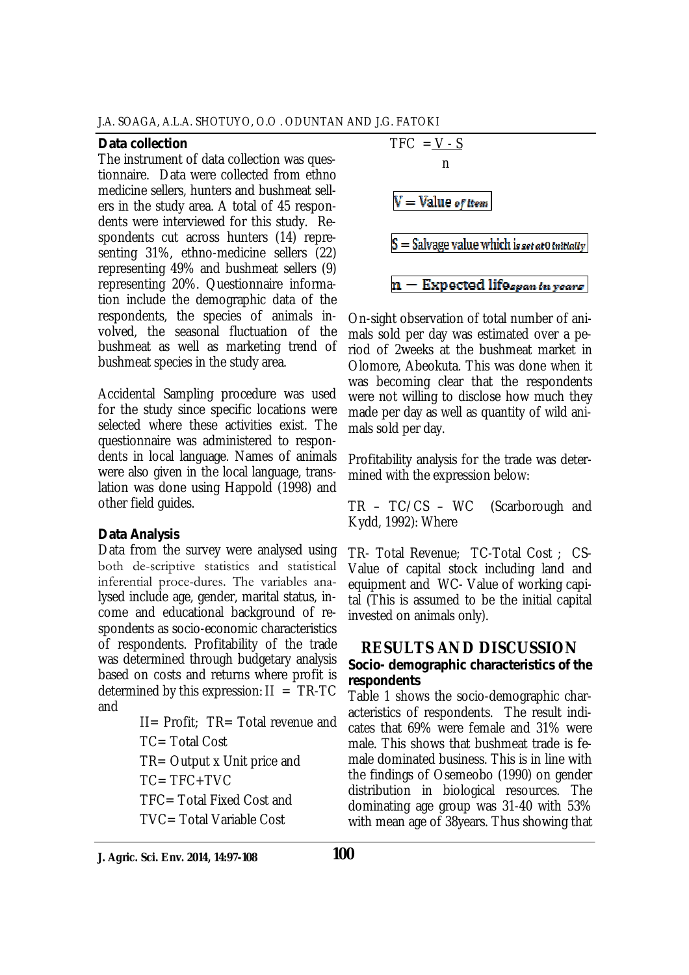#### *Data collection*

The instrument of data collection was questionnaire. Data were collected from ethno medicine sellers, hunters and bushmeat sellers in the study area. A total of 45 respondents were interviewed for this study. Respondents cut across hunters (14) representing 31%, ethno-medicine sellers (22) representing 49% and bushmeat sellers (9) representing 20%. Questionnaire information include the demographic data of the respondents, the species of animals involved, the seasonal fluctuation of the bushmeat as well as marketing trend of bushmeat species in the study area.

Accidental Sampling procedure was used for the study since specific locations were selected where these activities exist. The questionnaire was administered to respondents in local language. Names of animals were also given in the local language, translation was done using Happold (1998) and other field guides.

### *Data Analysis*

Data from the survey were analysed using both descriptive statistics and statistical inferential proce-dures. The variables analysed include age, gender, marital status, income and educational background of respondents as socio-economic characteristics of respondents. Profitability of the trade was determined through budgetary analysis based on costs and returns where profit is determined by this expression:  $II = TR-TC$ and

 $II =$  Profit:  $TR =$  Total revenue and

 $TC = Total Cost$ 

TR= Output x Unit price and

 $TC = TFC + TVC$ 

TFC= Total Fixed Cost and

TVC= Total Variable Cost

TFC = 
$$
\frac{V - S}{n}
$$
  
\n  
\n
$$
\overline{V} = Value of item
$$
\n
$$
S = Salvage value which is set at 0 Inttdally
$$
\n
$$
n - Expected life span in years
$$

On-sight observation of total number of animals sold per day was estimated over a period of 2weeks at the bushmeat market in Olomore, Abeokuta. This was done when it was becoming clear that the respondents were not willing to disclose how much they made per day as well as quantity of wild animals sold per day.

Profitability analysis for the trade was determined with the expression below:

TR – TC/CS – WC (Scarborough and Kydd, 1992): Where

TR- Total Revenue; TC-Total Cost ; CS-Value of capital stock including land and equipment and WC- Value of working capital (This is assumed to be the initial capital invested on animals only).

## **RESULTS AND DISCUSSION** *Socio- demographic characteristics of the respondents*

Table 1 shows the socio-demographic characteristics of respondents. The result indicates that 69% were female and 31% were male. This shows that bushmeat trade is female dominated business. This is in line with the findings of Osemeobo (1990) on gender distribution in biological resources. The dominating age group was 31-40 with 53% with mean age of 38years. Thus showing that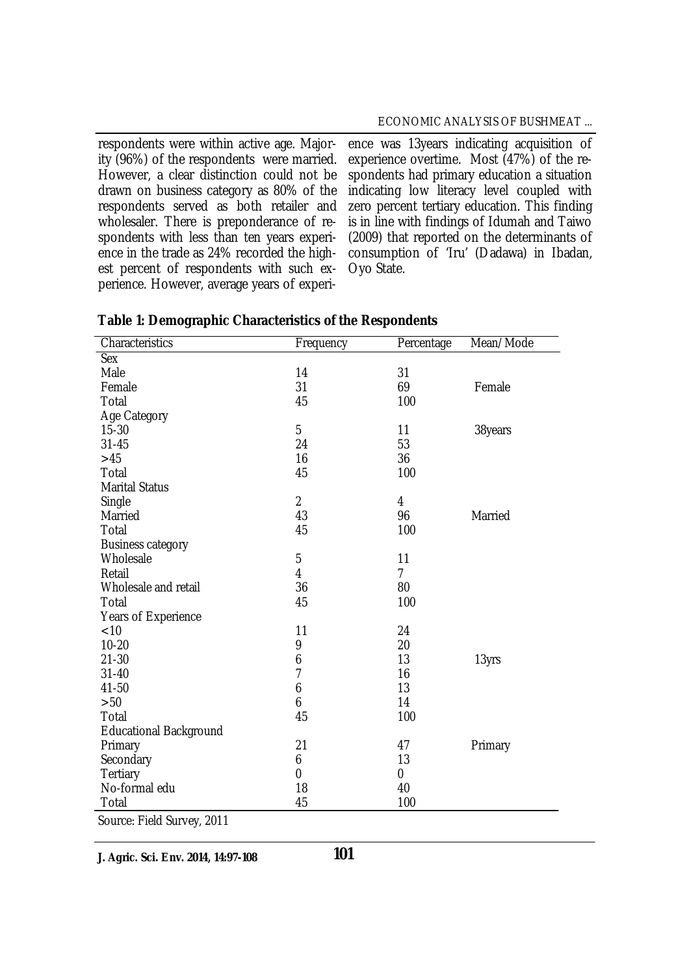respondents were within active age. Majority (96%) of the respondents were married. However, a clear distinction could not be drawn on business category as 80% of the respondents served as both retailer and wholesaler. There is preponderance of respondents with less than ten years experience in the trade as 24% recorded the highest percent of respondents with such experience. However, average years of experi-

ence was 13years indicating acquisition of experience overtime. Most (47%) of the respondents had primary education a situation indicating low literacy level coupled with zero percent tertiary education. This finding is in line with findings of Idumah and Taiwo (2009) that reported on the determinants of consumption of 'Iru' (Dadawa) in Ibadan, Oyo State.

| Characteristics               | Frequency      | Percentage     | Mean/Mode |
|-------------------------------|----------------|----------------|-----------|
| <b>Sex</b>                    |                |                |           |
| Male                          | 14             | 31             |           |
| Female                        | 31             | 69             | Female    |
| Total                         | 45             | 100            |           |
| Age Category                  |                |                |           |
| $15 - 30$                     | 5              | 11             | 38years   |
| $31 - 45$                     | 24             | 53             |           |
| $>45$                         | 16             | 36             |           |
| Total                         | 45             | 100            |           |
| <b>Marital Status</b>         |                |                |           |
| Single                        | $\overline{2}$ | $\overline{4}$ |           |
| Married                       | 43             | 96             | Married   |
| Total                         | 45             | 100            |           |
| <b>Business category</b>      |                |                |           |
| Wholesale                     | 5              | 11             |           |
| Retail                        | $\overline{4}$ | $\overline{7}$ |           |
| Wholesale and retail          | 36             | 80             |           |
| Total                         | 45             | 100            |           |
| Years of Experience           |                |                |           |
| < 10                          | 11             | 24             |           |
| $10 - 20$                     | 9              | 20             |           |
| $21 - 30$                     | 6              | 13             | 13yrs     |
| $31 - 40$                     | 7              | 16             |           |
| 41-50                         | 6              | 13             |           |
| $>50$                         | 6              | 14             |           |
| Total                         | 45             | 100            |           |
| <b>Educational Background</b> |                |                |           |
| Primary                       | 21             | 47             | Primary   |
| Secondary                     | 6              | 13             |           |
| <b>Tertiary</b>               | 0              | 0              |           |
| No-formal edu                 | 18             | 40             |           |
| Total                         | 45             | 100            |           |
| Source: Field Survey, 2011    |                |                |           |

| Table 1: Demographic Characteristics of the Respondents |  |  |  |
|---------------------------------------------------------|--|--|--|
|---------------------------------------------------------|--|--|--|

**J. Agric. Sci. Env. 2014, 14:97-108**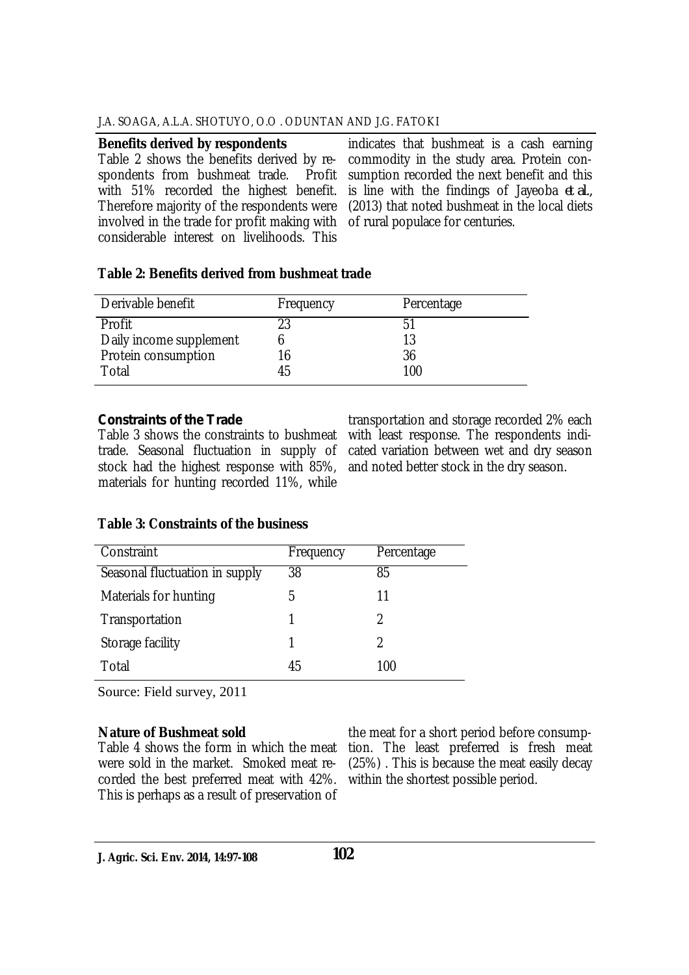#### **Benefits derived by respondents**

Table 2 shows the benefits derived by re-<br>spondents from bushmeat trade. Profit spondents from bushmeat trade. with 51% recorded the highest benefit. Therefore majority of the respondents were involved in the trade for profit making with considerable interest on livelihoods. This

indicates that bushmeat is a cash earning commodity in the study area. Protein consumption recorded the next benefit and this is line with the findings of Jayeoba *et al.,* (2013) that noted bushmeat in the local diets of rural populace for centuries.

## **Table 2: Benefits derived from bushmeat trade**

| Derivable benefit       | Frequency | Percentage |
|-------------------------|-----------|------------|
| Profit                  | 23        | 51         |
| Daily income supplement |           | 13         |
| Protein consumption     | 16        | 36         |
| Total                   | 45        | 100        |

## *Constraints of the Trade*

Table 3 shows the constraints to bushmeat trade. Seasonal fluctuation in supply of stock had the highest response with 85%, materials for hunting recorded 11%, while

transportation and storage recorded 2% each with least response. The respondents indicated variation between wet and dry season and noted better stock in the dry season.

## **Table 3: Constraints of the business**

| Constraint                     | Frequency | Percentage |
|--------------------------------|-----------|------------|
| Seasonal fluctuation in supply | 38        | 85         |
| Materials for hunting          | 5         | 11         |
| Transportation                 | 1         | 2          |
| Storage facility               | 1         | 2          |
| Total                          | 45        | 100        |

Source: Field survey, 2011

### **Nature of Bushmeat sold**

were sold in the market. Smoked meat recorded the best preferred meat with 42%. This is perhaps as a result of preservation of

Table 4 shows the form in which the meat tion. The least preferred is fresh meat the meat for a short period before consump-(25%) . This is because the meat easily decay within the shortest possible period.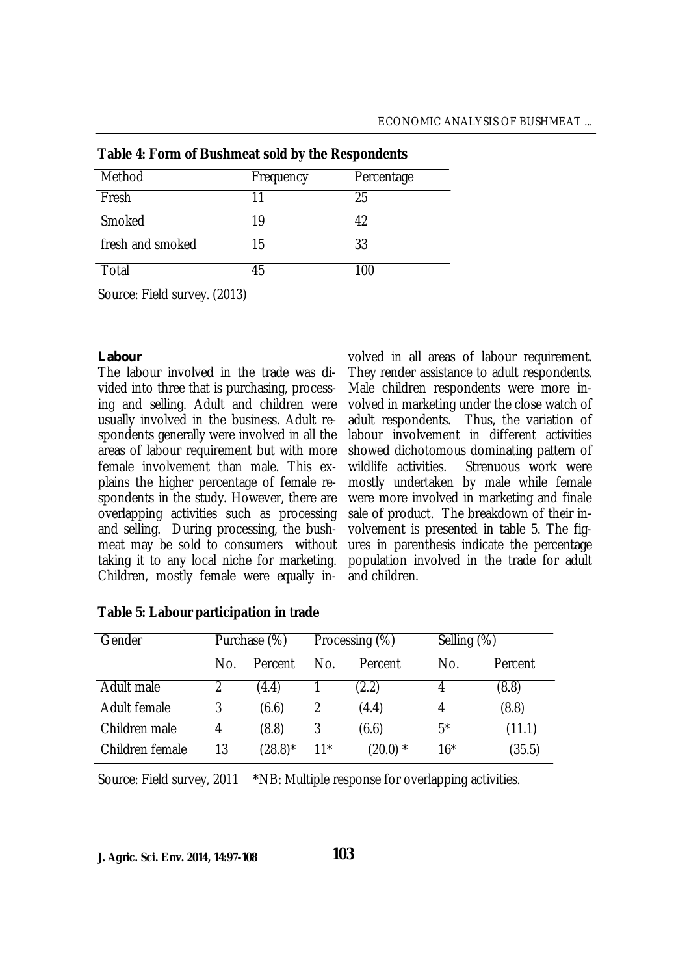| Method                       | Frequency | Percentage |  |  |  |
|------------------------------|-----------|------------|--|--|--|
| Fresh                        | 11        | 25         |  |  |  |
| Smoked                       | 19        | 42         |  |  |  |
| fresh and smoked             | 15        | 33         |  |  |  |
| Total                        | 45        | 100        |  |  |  |
| Course Field surveyed (2012) |           |            |  |  |  |

## **Table 4: Form of Bushmeat sold by the Respondents**

Source: Field survey. (2013)

## *Labour*

The labour involved in the trade was divided into three that is purchasing, processing and selling. Adult and children were usually involved in the business. Adult respondents generally were involved in all the areas of labour requirement but with more female involvement than male. This explains the higher percentage of female respondents in the study. However, there are overlapping activities such as processing and selling. During processing, the bushmeat may be sold to consumers without taking it to any local niche for marketing. Children, mostly female were equally in-

volved in all areas of labour requirement. They render assistance to adult respondents. Male children respondents were more involved in marketing under the close watch of adult respondents. Thus, the variation of labour involvement in different activities showed dichotomous dominating pattern of<br>wildlife activities. Strenuous work were Strenuous work were mostly undertaken by male while female were more involved in marketing and finale sale of product. The breakdown of their involvement is presented in table 5. The figures in parenthesis indicate the percentage population involved in the trade for adult and children.

| Gender          | Purchase (%) |            | Processing (%) |              |       | Selling (%) |  |
|-----------------|--------------|------------|----------------|--------------|-------|-------------|--|
|                 | No.          | Percent    | No.            | Percent      | No.   | Percent     |  |
| Adult male      |              | (4.4)      |                | (2.2)        | 4     | (8.8)       |  |
| Adult female    | 3            | (6.6)      |                | (4.4)        | 4     | (8.8)       |  |
| Children male   | 4            | (8.8)      | 3              | (6.6)        | $5^*$ | (11.1)      |  |
| Children female | 13           | $(28.8)^*$ | $11*$          | $(20.0)$ $*$ | $16*$ | (35.5)      |  |

### **Table 5: Labour participation in trade**

Source: Field survey, 2011 \*NB: Multiple response for overlapping activities.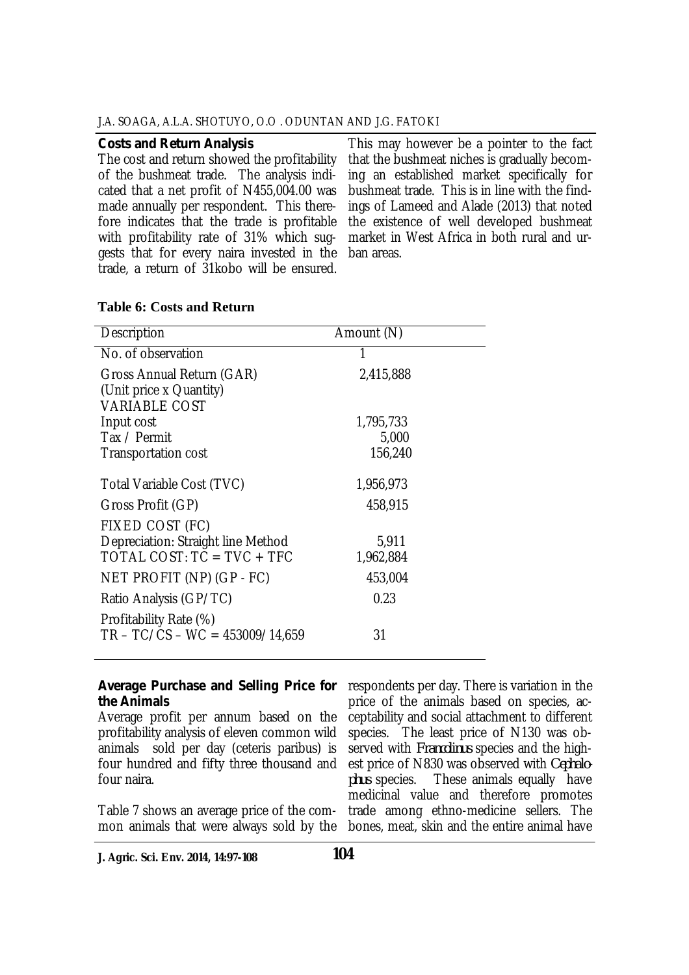#### *Costs and Return Analysis*

The cost and return showed the profitability of the bushmeat trade. The analysis indicated that a net profit of N455,004.00 was made annually per respondent. This therefore indicates that the trade is profitable with profitability rate of 31% which suggests that for every naira invested in the trade, a return of 31kobo will be ensured.

This may however be a pointer to the fact that the bushmeat niches is gradually becoming an established market specifically for bushmeat trade. This is in line with the findings of Lameed and Alade (2013) that noted the existence of well developed bushmeat market in West Africa in both rural and urban areas.

#### **Table 6: Costs and Return**

| Description                                                                  | Amount (N) |
|------------------------------------------------------------------------------|------------|
| No. of observation                                                           |            |
| Gross Annual Return (GAR)<br>(Unit price x Quantity)<br><b>VARIABLE COST</b> | 2,415,888  |
| Input cost                                                                   | 1,795,733  |
| Tax / Permit                                                                 | 5,000      |
| <b>Transportation cost</b>                                                   | 156,240    |
| Total Variable Cost (TVC)                                                    | 1,956,973  |
| Gross Profit (GP)                                                            | 458,915    |
| FIXED COST (FC)                                                              |            |
| Depreciation: Straight line Method                                           | 5,911      |
| TOTAL COST: $TC = TVC + TFC$                                                 | 1,962,884  |
| NET PROFIT (NP) (GP - FC)                                                    | 453,004    |
| Ratio Analysis (GP/TC)                                                       | 0.23       |
| Profitability Rate (%)<br>$TR - TC/CS - WC = 453009/14.659$                  | 31         |

#### *Average Purchase and Selling Price for the Animals*

Average profit per annum based on the profitability analysis of eleven common wild animals sold per day (ceteris paribus) is four hundred and fifty three thousand and four naira.

Table 7 shows an average price of the common animals that were always sold by the

respondents per day. There is variation in the price of the animals based on species, acceptability and social attachment to different species. The least price of N130 was observed with *Francolinus* species and the highest price of N830 was observed with *Cephalo-*These animals equally have medicinal value and therefore promotes trade among ethno-medicine sellers. The bones, meat, skin and the entire animal have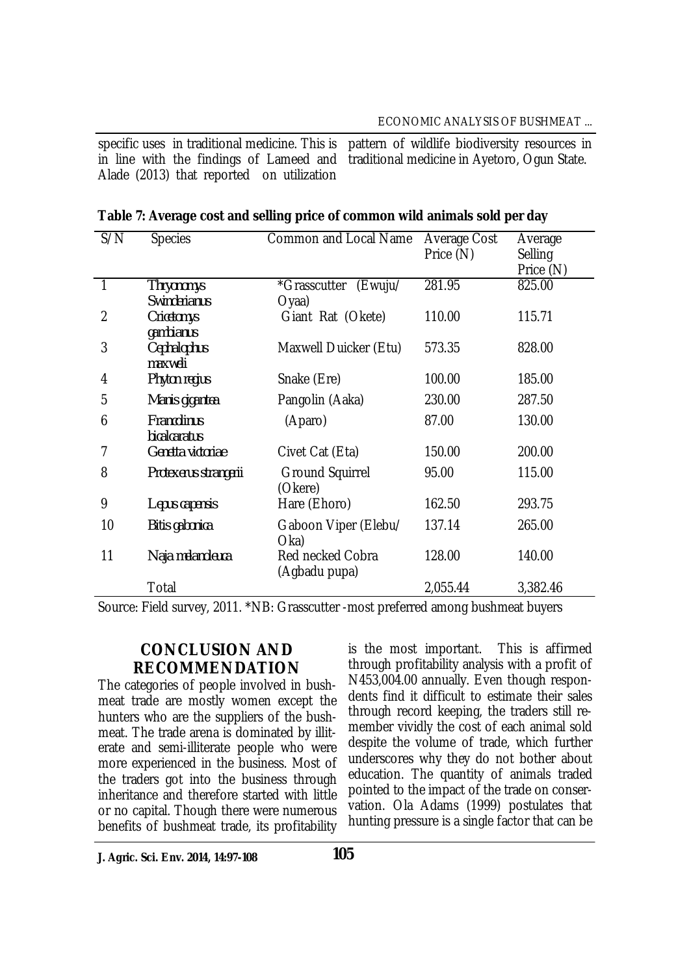specific uses in traditional medicine. This is in line with the findings of Lameed and Alade (2013) that reported on utilization pattern of wildlife biodiversity resources in traditional medicine in Ayetoro, Ogun State.

| S/N | <b>Species</b>        | <b>Common and Local Name</b> | Average Cost | Average   |
|-----|-----------------------|------------------------------|--------------|-----------|
|     |                       |                              | Price (N)    | Selling   |
|     |                       |                              |              | Price (N) |
|     | <b>Thryonomys</b>     | *Grasscutter (Ewuju/         | 281.95       | 825.00    |
|     | <b>Swinderianus</b>   | Oyaa)                        |              |           |
| 2   | Cricetomys            | Giant Rat (Okete)            | 110.00       | 115.71    |
|     | gambianus             |                              |              |           |
| 3   | Cephalophus           | Maxwell Duicker (Etu)        | 573.35       | 828.00    |
|     | maxweli               |                              |              |           |
| 4   | Phyton regius         | Snake (Ere)                  | 100.00       | 185.00    |
| 5   | Manis gigantea        | Pangolin (Aaka)              | 230.00       | 287.50    |
| 6   | <b>Francolinus</b>    | (Aparo)                      | 87.00        | 130.00    |
|     | bicalcaratus          |                              |              |           |
| 7   | Genetta victoriae     | Civet Cat (Eta)              | 150.00       | 200.00    |
| 8   | Protexerus strangerii | <b>Ground Squirrel</b>       | 95.00        | 115.00    |
|     |                       | (Okere)                      |              |           |
| 9   | Lepus capensis        | Hare (Ehoro)                 | 162.50       | 293.75    |
| 10  | Bitis gabonica        | Gaboon Viper (Elebu/         | 137.14       | 265.00    |
|     |                       | Oka)                         |              |           |
| 11  | Naja melanoleuca      | Red necked Cobra             | 128.00       | 140.00    |
|     |                       | (Agbadu pupa)                |              |           |
|     | Total                 |                              | 2,055.44     | 3,382.46  |

Source: Field survey, 2011. \*NB: Grasscutter -most preferred among bushmeat buyers

## **CONCLUSION AND RECOMMENDATION**

The categories of people involved in bushmeat trade are mostly women except the hunters who are the suppliers of the bushmeat. The trade arena is dominated by illiterate and semi-illiterate people who were more experienced in the business. Most of the traders got into the business through inheritance and therefore started with little or no capital. Though there were numerous benefits of bushmeat trade, its profitability

is the most important. This is affirmed through profitability analysis with a profit of N453,004.00 annually. Even though respondents find it difficult to estimate their sales through record keeping, the traders still remember vividly the cost of each animal sold despite the volume of trade, which further underscores why they do not bother about education. The quantity of animals traded pointed to the impact of the trade on conservation. Ola Adams (1999) postulates that hunting pressure is a single factor that can be

**J. Agric. Sci. Env. 2014, 14:97-108**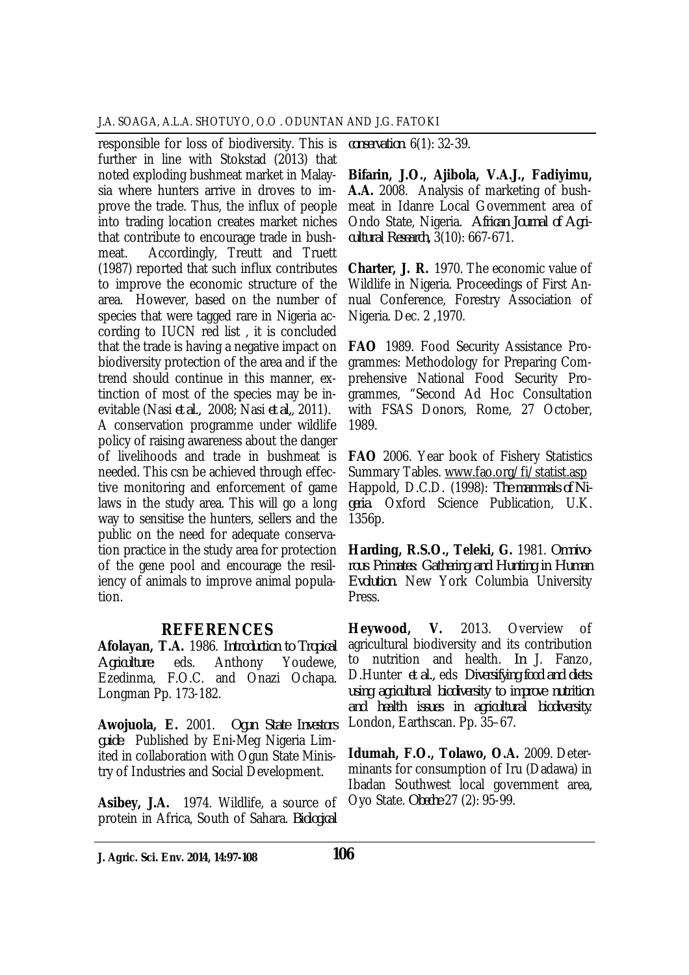responsible for loss of biodiversity. This is further in line with Stokstad (2013) that noted exploding bushmeat market in Malaysia where hunters arrive in droves to improve the trade. Thus, the influx of people into trading location creates market niches that contribute to encourage trade in bushmeat. Accordingly, Treutt and Truett (1987) reported that such influx contributes to improve the economic structure of the area. However, based on the number of species that were tagged rare in Nigeria according to IUCN red list , it is concluded that the trade is having a negative impact on biodiversity protection of the area and if the trend should continue in this manner, extinction of most of the species may be inevitable (Nasi *et al.,* 2008; Nasi *et al,*, 2011). A conservation programme under wildlife policy of raising awareness about the danger of livelihoods and trade in bushmeat is needed. This csn be achieved through effective monitoring and enforcement of game laws in the study area. This will go a long way to sensitise the hunters, sellers and the public on the need for adequate conservation practice in the study area for protection of the gene pool and encourage the resiliency of animals to improve animal population.

## **REFERENCES**

**Afolayan, T.A.** 1986. *Introduction to Tropical Agriculture*: eds. Anthony Youdewe, Ezedinma, F.O.C. and Onazi Ochapa. Longman Pp. 173-182.

**Awojuola, E.** 2001. *Ogun State Investors guide*. Published by Eni-Meg Nigeria Limited in collaboration with Ogun State Ministry of Industries and Social Development.

**Asibey, J.A.** 1974. Wildlife, a source of protein in Africa, South of Sahara. *Biological* 

*conservation*. 6(1): 32-39.

**Bifarin, J.O., Ajibola, V.A.J., Fadiyimu, A.A.** 2008. Analysis of marketing of bushmeat in Idanre Local Government area of Ondo State, Nigeria. *African Journal of Agricultural Research,* 3(10): 667-671.

**Charter, J. R.** 1970. The economic value of Wildlife in Nigeria. Proceedings of First Annual Conference, Forestry Association of Nigeria. Dec. 2 ,1970.

**FAO** 1989. Food Security Assistance Programmes: Methodology for Preparing Comprehensive National Food Security Programmes, "Second Ad Hoc Consultation with FSAS Donors, Rome, 27 October, 1989.

**FAO** 2006. Year book of Fishery Statistics Summary Tables. www.fao.org/fi/statist.asp Happold, D.C.D. (1998): *The mammals of Nigeria*. Oxford Science Publication, U.K. 1356p.

**Harding, R.S.O., Teleki, G.** 1981. *Omnivorous Primates: Gathering and Hunting in Human Evolution.* New York Columbia University Press.

**Heywood, V.** 2013. Overview of agricultural biodiversity and its contribution to nutrition and health. *In* J. Fanzo, D.Hunter *et al.,* eds *Diversifying food and diets: using agricultural biodiversity to improve nutrition and health issues in agricultural biodiversity*. London, Earthscan. Pp. 35–67.

**Idumah, F.O., Tolawo, O.A.** 2009. Determinants for consumption of Iru (Dadawa) in Ibadan Southwest local government area, Oyo State. *Obeche* 27 (2): 95-99.

**J. Agric. Sci. Env. 2014, 14:97-108 106**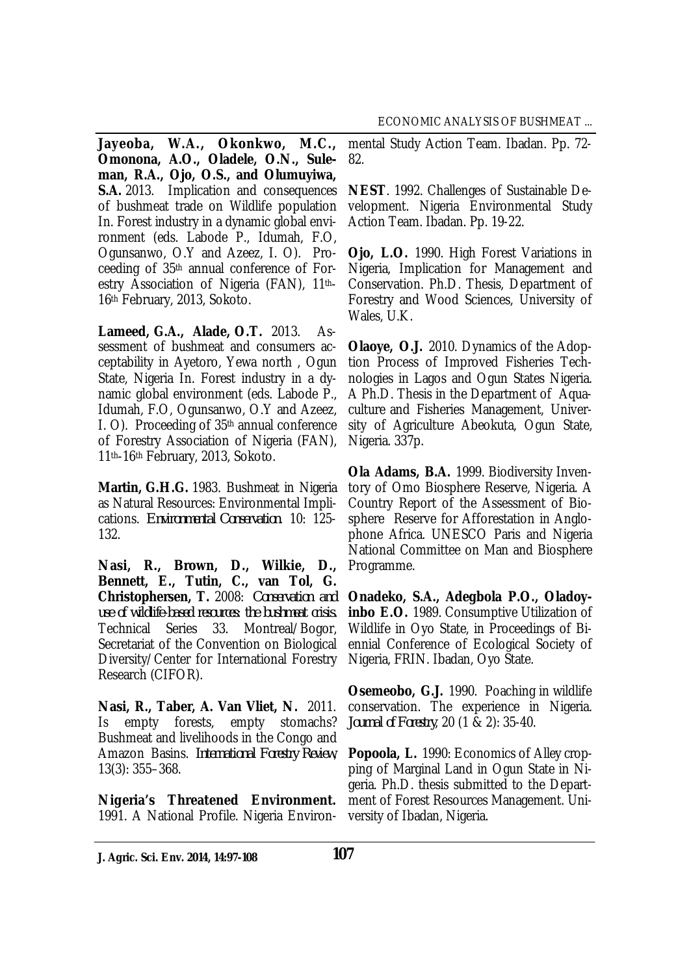**Jayeoba, W.A., Okonkwo, M.C., Omonona, A.O., Oladele, O.N., Suleman, R.A., Ojo, O.S., and Olumuyiwa, S.A.** 2013. Implication and consequences of bushmeat trade on Wildlife population In. Forest industry in a dynamic global environment (eds. Labode P., Idumah, F.O, Ogunsanwo, O.Y and Azeez, I. O). Proceeding of 35th annual conference of Forestry Association of Nigeria (FAN), 11th-16th February, 2013, Sokoto.

**Lameed, G.A., Alade, O.T.** 2013. Assessment of bushmeat and consumers acceptability in Ayetoro, Yewa north , Ogun State, Nigeria In. Forest industry in a dynamic global environment (eds. Labode P., Idumah, F.O, Ogunsanwo, O.Y and Azeez, I. O). Proceeding of 35th annual conference of Forestry Association of Nigeria (FAN), 11th-16th February, 2013, Sokoto.

**Martin, G.H.G.** 1983. Bushmeat in Nigeria as Natural Resources: Environmental Implications. *Environmental Conservation*. 10: 125- 132.

**Nasi, R., Brown, D., Wilkie, D., Bennett, E., Tutin, C., van Tol, G. Christophersen, T.** 2008: *Conservation and use of wildlife‐based resources: the bushmeat crisis.*  Technical Series 33. Montreal/Bogor, Secretariat of the Convention on Biological Diversity/Center for International Forestry Research (CIFOR).

**Nasi, R., Taber, A. Van Vliet, N.** 2011. Is empty forests, empty stomachs? Bushmeat and livelihoods in the Congo and Amazon Basins. *International Forestry Review*, 13(3): 355–368.

**Nigeria's Threatened Environment.**  1991. A National Profile. Nigeria Environmental Study Action Team. Ibadan. Pp. 72- 82.

**NEST**. 1992. Challenges of Sustainable Development. Nigeria Environmental Study Action Team. Ibadan. Pp. 19-22.

**Ojo, L.O.** 1990. High Forest Variations in Nigeria, Implication for Management and Conservation. Ph.D. Thesis, Department of Forestry and Wood Sciences, University of Wales, U.K.

**Olaoye, O.J.** 2010. Dynamics of the Adoption Process of Improved Fisheries Technologies in Lagos and Ogun States Nigeria. A Ph.D. Thesis in the Department of Aquaculture and Fisheries Management, University of Agriculture Abeokuta, Ogun State, Nigeria. 337p.

**Ola Adams, B.A.** 1999. Biodiversity Inventory of Omo Biosphere Reserve, Nigeria. A Country Report of the Assessment of Biosphere Reserve for Afforestation in Anglophone Africa. UNESCO Paris and Nigeria National Committee on Man and Biosphere Programme.

**Onadeko, S.A., Adegbola P.O., Oladoyinbo E.O.** 1989. Consumptive Utilization of Wildlife in Oyo State, in Proceedings of Biennial Conference of Ecological Society of Nigeria, FRIN. Ibadan, Oyo State.

**Osemeobo, G.J.** 1990. Poaching in wildlife conservation. The experience in Nigeria. *Journal of Forestry*, 20 (1 & 2): 35-40.

**Popoola, L.** 1990: Economics of Alley cropping of Marginal Land in Ogun State in Nigeria. Ph.D. thesis submitted to the Department of Forest Resources Management. University of Ibadan, Nigeria.

**J. Agric. Sci. Env. 2014, 14:97-108 107**